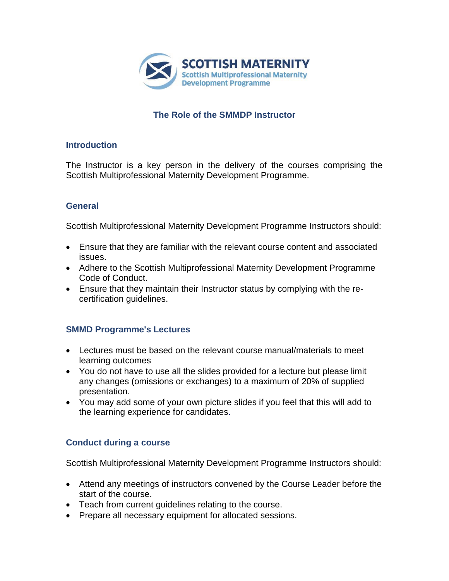

# **The Role of the SMMDP Instructor**

#### **Introduction**

The Instructor is a key person in the delivery of the courses comprising the Scottish Multiprofessional Maternity Development Programme.

## **General**

Scottish Multiprofessional Maternity Development Programme Instructors should:

- Ensure that they are familiar with the relevant course content and associated issues.
- Adhere to the Scottish Multiprofessional Maternity Development Programme Code of Conduct.
- Ensure that they maintain their Instructor status by complying with the recertification guidelines.

## **SMMD Programme's Lectures**

- Lectures must be based on the relevant course manual/materials to meet learning outcomes
- You do not have to use all the slides provided for a lecture but please limit any changes (omissions or exchanges) to a maximum of 20% of supplied presentation.
- You may add some of your own picture slides if you feel that this will add to the learning experience for candidates.

# **Conduct during a course**

Scottish Multiprofessional Maternity Development Programme Instructors should:

- Attend any meetings of instructors convened by the Course Leader before the start of the course.
- Teach from current guidelines relating to the course.
- Prepare all necessary equipment for allocated sessions.